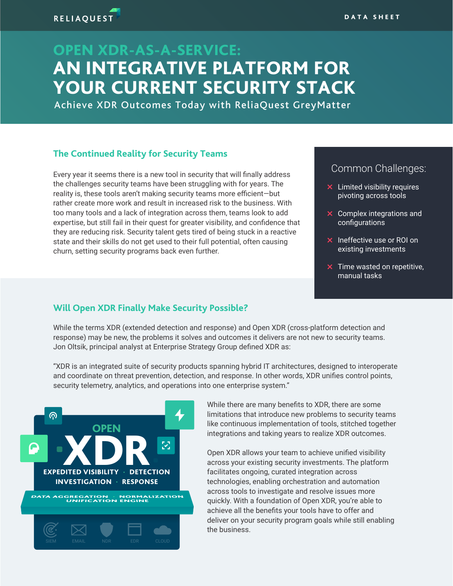# OPEN XDR-AS-A-SERVICE: AN INTEGRATIVE PLATFORM FOR YOUR CURRENT SECURITY STACK

Achieve XDR Outcomes Today with ReliaQuest GreyMatter

#### **The Continued Reality for Security Teams**

Every year it seems there is a new tool in security that will finally address the challenges security teams have been struggling with for years. The reality is, these tools aren't making security teams more efficient—but rather create more work and result in increased risk to the business. With too many tools and a lack of integration across them, teams look to add expertise, but still fail in their quest for greater visibility, and confidence that they are reducing risk. Security talent gets tired of being stuck in a reactive state and their skills do not get used to their full potential, often causing churn, setting security programs back even further.

### Common Challenges:

- $\times$  Limited visibility requires pivoting across tools
- $\times$  Complex integrations and configurations
- $\times$  Ineffective use or ROI on existing investments
- $\times$  Time wasted on repetitive, manual tasks

#### **Will Open XDR Finally Make Security Possible?**

While the terms XDR (extended detection and response) and Open XDR (cross-platform detection and response) may be new, the problems it solves and outcomes it delivers are not new to security teams. Jon Oltsik, principal analyst at Enterprise Strategy Group defined XDR as:

"XDR is an integrated suite of security products spanning hybrid IT architectures, designed to interoperate and coordinate on threat prevention, detection, and response. In other words, XDR unifies control points, security telemetry, analytics, and operations into one enterprise system."



While there are many benefits to XDR, there are some limitations that introduce new problems to security teams like continuous implementation of tools, stitched together integrations and taking years to realize XDR outcomes.

Open XDR allows your team to achieve unified visibility across your existing security investments. The platform facilitates ongoing, curated integration across technologies, enabling orchestration and automation across tools to investigate and resolve issues more quickly. With a foundation of Open XDR, you're able to achieve all the benefits your tools have to offer and deliver on your security program goals while still enabling the business.